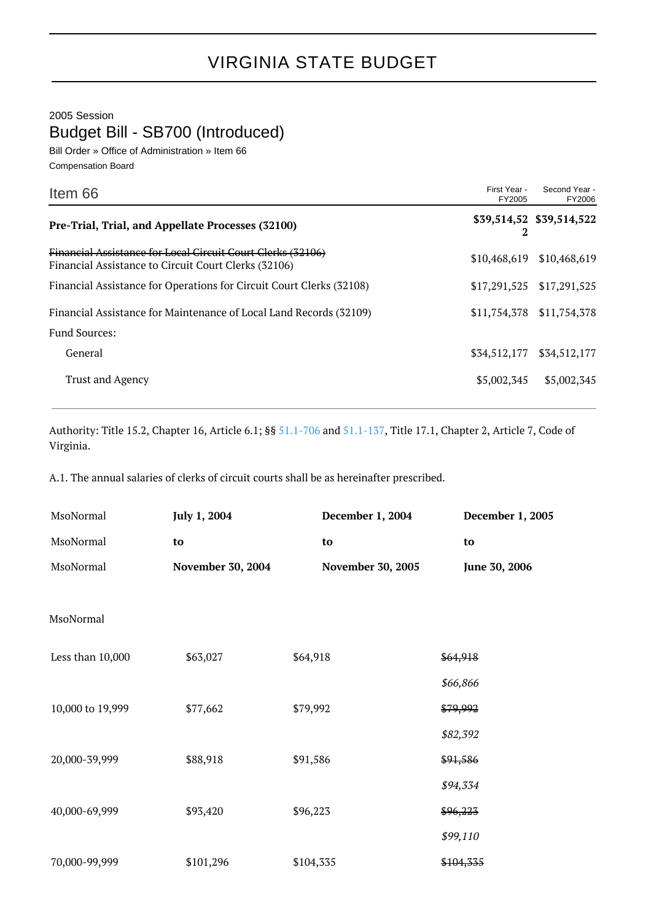2005 Session

Budget Bill - SB700 (Introduced)

Bill Order » Office of Administration » Item 66 Compensation Board

| Item 66                                                                                                             | First Year -<br>FY2005 | Second Year -<br>FY2006   |
|---------------------------------------------------------------------------------------------------------------------|------------------------|---------------------------|
| Pre-Trial, Trial, and Appellate Processes (32100)                                                                   | 2                      | \$39,514,52 \$39,514,522  |
| Financial Assistance for Local Circuit Court Clerks (32106)<br>Financial Assistance to Circuit Court Clerks (32106) | \$10,468,619           | \$10,468,619              |
| Financial Assistance for Operations for Circuit Court Clerks (32108)                                                | \$17,291,525           | \$17,291,525              |
| Financial Assistance for Maintenance of Local Land Records (32109)                                                  |                        | \$11,754,378 \$11,754,378 |
| <b>Fund Sources:</b>                                                                                                |                        |                           |
| General                                                                                                             | \$34,512,177           | \$34,512,177              |
| <b>Trust and Agency</b>                                                                                             | \$5,002,345            | \$5,002,345               |

Authority: Title 15.2, Chapter 16, Article 6.1; §§ [51.1-706](http://law.lis.virginia.gov/vacode/51.1-706/) and [51.1-137,](http://law.lis.virginia.gov/vacode/51.1-137/) Title 17.1, Chapter 2, Article 7, Code of Virginia.

A.1. The annual salaries of clerks of circuit courts shall be as hereinafter prescribed.

| MsoNormal        | July 1, 2004      | December 1, 2004  | December 1, 2005 |
|------------------|-------------------|-------------------|------------------|
| MsoNormal        | to                | to                | to               |
| MsoNormal        | November 30, 2004 | November 30, 2005 | June 30, 2006    |
|                  |                   |                   |                  |
| MsoNormal        |                   |                   |                  |
| Less than 10,000 | \$63,027          | \$64,918          | \$64,918         |
|                  |                   |                   | \$66,866         |
| 10,000 to 19,999 | \$77,662          | \$79,992          | \$79,992         |
|                  |                   |                   | \$82,392         |
| 20,000-39,999    | \$88,918          | \$91,586          | \$91,586         |
|                  |                   |                   | \$94,334         |
| 40,000-69,999    | \$93,420          | \$96,223          | \$96,223         |
|                  |                   |                   | \$99,110         |
| 70,000-99,999    | \$101,296         | \$104,335         | \$104,335        |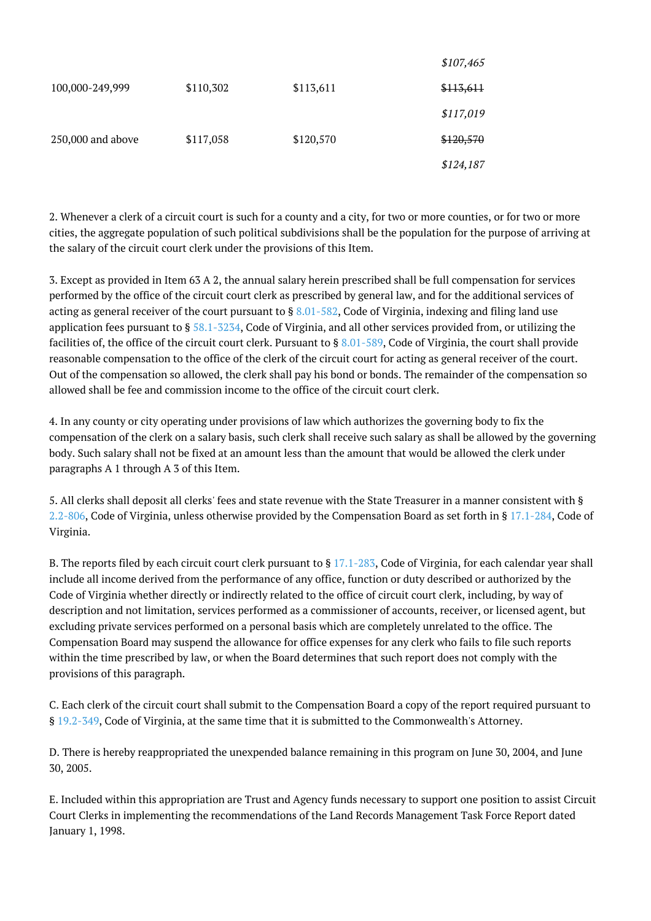|                   |           |           | JUV,405   |
|-------------------|-----------|-----------|-----------|
| 100,000-249,999   | \$110,302 | \$113,611 | \$113,611 |
|                   |           |           | \$117,019 |
| 250,000 and above | \$117,058 | \$120,570 | \$120,570 |
|                   |           |           | \$124,187 |

2. Whenever a clerk of a circuit court is such for a county and a city, for two or more counties, or for two or more cities, the aggregate population of such political subdivisions shall be the population for the purpose of arriving at the salary of the circuit court clerk under the provisions of this Item.

 $6107,465$ 

3. Except as provided in Item 63 A 2, the annual salary herein prescribed shall be full compensation for services performed by the office of the circuit court clerk as prescribed by general law, and for the additional services of acting as general receiver of the court pursuant to § [8.01-582,](http://law.lis.virginia.gov/vacode/8.01-582/) Code of Virginia, indexing and filing land use application fees pursuant to  $\S 58.1-5234$ , Code of Virginia, and all other services provided from, or utilizing the facilities of, the office of the circuit court clerk. Pursuant to § [8.01-589](http://law.lis.virginia.gov/vacode/8.01-589/), Code of Virginia, the court shall provide reasonable compensation to the office of the clerk of the circuit court for acting as general receiver of the court. Out of the compensation so allowed, the clerk shall pay his bond or bonds. The remainder of the compensation so allowed shall be fee and commission income to the office of the circuit court clerk.

4. In any county or city operating under provisions of law which authorizes the governing body to fix the compensation of the clerk on a salary basis, such clerk shall receive such salary as shall be allowed by the governing body. Such salary shall not be fixed at an amount less than the amount that would be allowed the clerk under paragraphs A 1 through A 3 of this Item.

5. All clerks shall deposit all clerks' fees and state revenue with the State Treasurer in a manner consistent with § [2.2-806,](http://law.lis.virginia.gov/vacode/2.2-806/) Code of Virginia, unless otherwise provided by the Compensation Board as set forth in § [17.1-284](http://law.lis.virginia.gov/vacode/17.1-284/), Code of Virginia.

B. The reports filed by each circuit court clerk pursuant to § [17.1-283,](http://law.lis.virginia.gov/vacode/17.1-283/) Code of Virginia, for each calendar year shall include all income derived from the performance of any office, function or duty described or authorized by the Code of Virginia whether directly or indirectly related to the office of circuit court clerk, including, by way of description and not limitation, services performed as a commissioner of accounts, receiver, or licensed agent, but excluding private services performed on a personal basis which are completely unrelated to the office. The Compensation Board may suspend the allowance for office expenses for any clerk who fails to file such reports within the time prescribed by law, or when the Board determines that such report does not comply with the provisions of this paragraph.

C. Each clerk of the circuit court shall submit to the Compensation Board a copy of the report required pursuant to § [19.2-349,](http://law.lis.virginia.gov/vacode/19.2-349/) Code of Virginia, at the same time that it is submitted to the Commonwealth's Attorney.

D. There is hereby reappropriated the unexpended balance remaining in this program on June 30, 2004, and June 30, 2005.

E. Included within this appropriation are Trust and Agency funds necessary to support one position to assist Circuit Court Clerks in implementing the recommendations of the Land Records Management Task Force Report dated January 1, 1998.